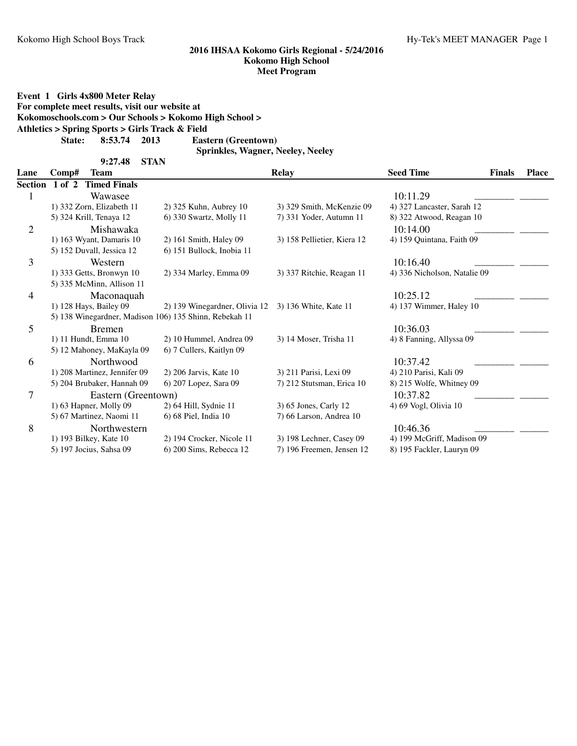**Event 1 Girls 4x800 Meter Relay**

**For complete meet results, visit our website at**

**Kokomoschools.com > Our Schools > Kokomo High School >**

```
Athletics > Spring Sports > Girls Track & Field
```
**State: 8:53.74 Eastern (Greentown) 2013**

**9:27.48 STAN**

**Sprinkles, Wagner, Neeley, Neeley**

| Lane           | Comp#<br><b>Team</b>                                   |                               | <b>Relay</b>                |                              |  | <b>Place</b> |
|----------------|--------------------------------------------------------|-------------------------------|-----------------------------|------------------------------|--|--------------|
| Section        | <b>Timed Finals</b><br>$1$ of $2$                      |                               |                             |                              |  |              |
|                | Wawasee                                                |                               |                             | 10:11.29                     |  |              |
|                | 1) 332 Zorn, Elizabeth 11                              | 2) 325 Kuhn, Aubrey 10        | 3) 329 Smith, McKenzie 09   | 4) 327 Lancaster, Sarah 12   |  |              |
|                | 5) 324 Krill, Tenaya 12                                | 6) 330 Swartz, Molly 11       | 7) 331 Yoder, Autumn 11     | 8) 322 Atwood, Reagan 10     |  |              |
| $\overline{2}$ | Mishawaka                                              |                               |                             | 10:14.00                     |  |              |
|                | 1) 163 Wyant, Damaris 10                               | 2) 161 Smith, Haley 09        | 3) 158 Pellietier, Kiera 12 | 4) 159 Quintana, Faith 09    |  |              |
|                | 5) 152 Duvall, Jessica 12                              | 6) 151 Bullock, Inobia 11     |                             |                              |  |              |
| 3              | Western                                                |                               |                             | 10:16.40                     |  |              |
|                | 1) 333 Getts, Bronwyn 10                               | 2) 334 Marley, Emma 09        | 3) 337 Ritchie, Reagan 11   | 4) 336 Nicholson, Natalie 09 |  |              |
|                | 5) 335 McMinn, Allison 11                              |                               |                             |                              |  |              |
| 4              | Maconaquah                                             |                               |                             | 10:25.12                     |  |              |
|                | 1) 128 Hays, Bailey 09                                 | 2) 139 Winegardner, Olivia 12 | 3) 136 White, Kate 11       | 4) 137 Wimmer, Haley 10      |  |              |
|                | 5) 138 Winegardner, Madison 106) 135 Shinn, Rebekah 11 |                               |                             |                              |  |              |
| 5              | <b>Bremen</b>                                          |                               |                             | 10:36.03                     |  |              |
|                | 1) 11 Hundt, Emma 10                                   | 2) 10 Hummel, Andrea 09       | 3) 14 Moser, Trisha 11      | 4) 8 Fanning, Allyssa 09     |  |              |
|                | 5) 12 Mahoney, MaKayla 09                              | 6) 7 Cullers, Kaitlyn 09      |                             |                              |  |              |
| 6              | Northwood                                              |                               |                             | 10:37.42                     |  |              |
|                | 1) 208 Martinez, Jennifer 09                           | 2) 206 Jarvis, Kate 10        | 3) 211 Parisi, Lexi 09      | 4) 210 Parisi, Kali 09       |  |              |
|                | 5) 204 Brubaker, Hannah 09                             | 6) 207 Lopez, Sara 09         | 7) 212 Stutsman, Erica 10   | 8) 215 Wolfe, Whitney 09     |  |              |
| 7              | Eastern (Greentown)                                    |                               |                             | 10:37.82                     |  |              |
|                | 1) 63 Hapner, Molly 09                                 | 2) 64 Hill, Sydnie 11         | 3) 65 Jones, Carly 12       | 4) 69 Vogl, Olivia 10        |  |              |
|                | 5) 67 Martinez, Naomi 11                               | 6) 68 Piel, India 10          | 7) 66 Larson, Andrea 10     |                              |  |              |
| 8              | Northwestern                                           |                               |                             | 10:46.36                     |  |              |
|                | 1) 193 Bilkey, Kate 10                                 | 2) 194 Crocker, Nicole 11     | 3) 198 Lechner, Casey 09    | 4) 199 McGriff, Madison 09   |  |              |
|                | 5) 197 Jocius, Sahsa 09                                | 6) 200 Sims, Rebecca 12       | 7) 196 Freemen, Jensen 12   | 8) 195 Fackler, Lauryn 09    |  |              |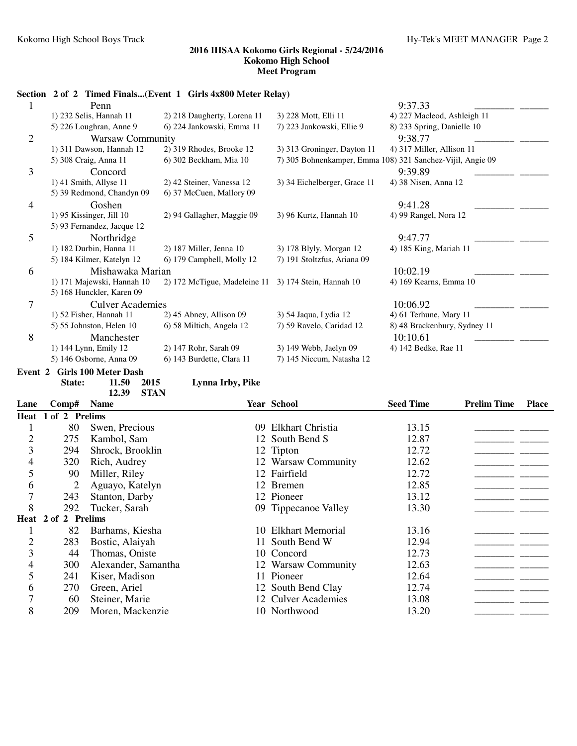|   |                              | Section 2 of 2 Timed Finals(Event 1 Girls 4x800 Meter Relay) |                              |                                                            |
|---|------------------------------|--------------------------------------------------------------|------------------------------|------------------------------------------------------------|
|   | Penn                         |                                                              |                              | 9:37.33                                                    |
|   | 1) 232 Selis, Hannah 11      | 2) 218 Daugherty, Lorena 11                                  | 3) 228 Mott, Elli 11         | 4) 227 Macleod, Ashleigh 11                                |
|   | 5) 226 Loughran, Anne 9      | 6) 224 Jankowski, Emma 11                                    | 7) 223 Jankowski, Ellie 9    | 8) 233 Spring, Danielle 10                                 |
| 2 | <b>Warsaw Community</b>      |                                                              |                              | 9:38.77                                                    |
|   | 1) 311 Dawson, Hannah 12     | 2) 319 Rhodes, Brooke 12                                     | 3) 313 Groninger, Dayton 11  | 4) 317 Miller, Allison 11                                  |
|   | 5) 308 Craig, Anna 11        | 6) 302 Beckham, Mia 10                                       |                              | 7) 305 Bohnenkamper, Emma 108) 321 Sanchez-Vijil, Angie 09 |
| 3 | Concord                      |                                                              |                              | 9:39.89                                                    |
|   | 1) 41 Smith, Allyse 11       | 2) 42 Steiner, Vanessa 12                                    | 3) 34 Eichelberger, Grace 11 | 4) 38 Nisen, Anna 12                                       |
|   | 5) 39 Redmond, Chandyn 09    | 6) 37 McCuen, Mallory 09                                     |                              |                                                            |
| 4 | Goshen                       |                                                              |                              | 9:41.28                                                    |
|   | $1)$ 95 Kissinger, Jill 10   | 2) 94 Gallagher, Maggie 09                                   | 3) 96 Kurtz, Hannah 10       | 4) 99 Rangel, Nora 12                                      |
|   | 5) 93 Fernandez, Jacque 12   |                                                              |                              |                                                            |
| 5 | Northridge                   |                                                              |                              | 9:47.77                                                    |
|   | 1) 182 Durbin, Hanna 11      | 2) 187 Miller, Jenna 10                                      | 3) 178 Blyly, Morgan 12      | 4) 185 King, Mariah 11                                     |
|   | 5) 184 Kilmer, Katelyn 12    | 6) 179 Campbell, Molly 12                                    | 7) 191 Stoltzfus, Ariana 09  |                                                            |
| 6 | Mishawaka Marian             |                                                              |                              | 10:02.19                                                   |
|   | 1) 171 Majewski, Hannah 10   | 2) 172 McTigue, Madeleine 11 3) 174 Stein, Hannah 10         |                              | 4) 169 Kearns, Emma 10                                     |
|   | 5) 168 Hunckler, Karen 09    |                                                              |                              |                                                            |
| 7 | <b>Culver Academies</b>      |                                                              |                              | 10:06.92                                                   |
|   | 1) 52 Fisher, Hannah 11      | $2)$ 45 Abney, Allison 09                                    | 3) 54 Jaqua, Lydia 12        | 4) 61 Terhune, Mary 11                                     |
|   | 5) 55 Johnston, Helen 10     | 6) 58 Miltich, Angela 12                                     | 7) 59 Ravelo, Caridad 12     | 8) 48 Brackenbury, Sydney 11                               |
| 8 | Manchester                   |                                                              |                              | 10:10.61                                                   |
|   | 1) 144 Lynn, Emily 12        | 2) 147 Rohr, Sarah 09                                        | 3) 149 Webb, Jaelyn 09       | 4) 142 Bedke, Rae 11                                       |
|   | 5) 146 Osborne, Anna 09      | 6) 143 Burdette, Clara 11                                    | 7) 145 Niccum, Natasha 12    |                                                            |
|   | Event 2 Girls 100 Meter Dash |                                                              |                              |                                                            |

**State: 11.50 Lynna Irby, Pike 2015 12.39 STAN**

| Lane           | Comp#               | <b>Name</b>         |         | Year School          | <b>Seed Time</b> | <b>Prelim Time</b> | <b>Place</b> |
|----------------|---------------------|---------------------|---------|----------------------|------------------|--------------------|--------------|
|                | Heat 1 of 2 Prelims |                     |         |                      |                  |                    |              |
|                | 80                  | Swen, Precious      | $^{09}$ | Elkhart Christia     | 13.15            |                    |              |
| $\overline{2}$ | 275                 | Kambol, Sam         |         | 12 South Bend S      | 12.87            |                    |              |
| 3              | 294                 | Shrock, Brooklin    |         | 12 Tipton            | 12.72            |                    |              |
| 4              | 320                 | Rich, Audrey        |         | 12 Warsaw Community  | 12.62            |                    |              |
| 5              | 90                  | Miller, Riley       |         | 12 Fairfield         | 12.72            |                    |              |
| 6              | 2                   | Aguayo, Katelyn     |         | 12 Bremen            | 12.85            |                    |              |
| 7              | 243                 | Stanton, Darby      |         | 12 Pioneer           | 13.12            |                    |              |
| 8              | 292                 | Tucker, Sarah       |         | 09 Tippecanoe Valley | 13.30            |                    |              |
|                | Heat 2 of 2 Prelims |                     |         |                      |                  |                    |              |
|                | 82                  | Barhams, Kiesha     |         | 10 Elkhart Memorial  | 13.16            |                    |              |
| $\overline{c}$ | 283                 | Bostic, Alaiyah     |         | 11 South Bend W      | 12.94            |                    |              |
| 3              | 44                  | Thomas, Oniste      |         | 10 Concord           | 12.73            |                    |              |
| 4              | 300                 | Alexander, Samantha |         | 12 Warsaw Community  | 12.63            |                    |              |
| 5              | 241                 | Kiser, Madison      |         | 11 Pioneer           | 12.64            |                    |              |
| 6              | 270                 | Green, Ariel        |         | 12 South Bend Clay   | 12.74            |                    |              |
| 7              | 60                  | Steiner, Marie      |         | 12 Culver Academies  | 13.08            |                    |              |
| 8              | 209                 | Moren, Mackenzie    |         | 10 Northwood         | 13.20            |                    |              |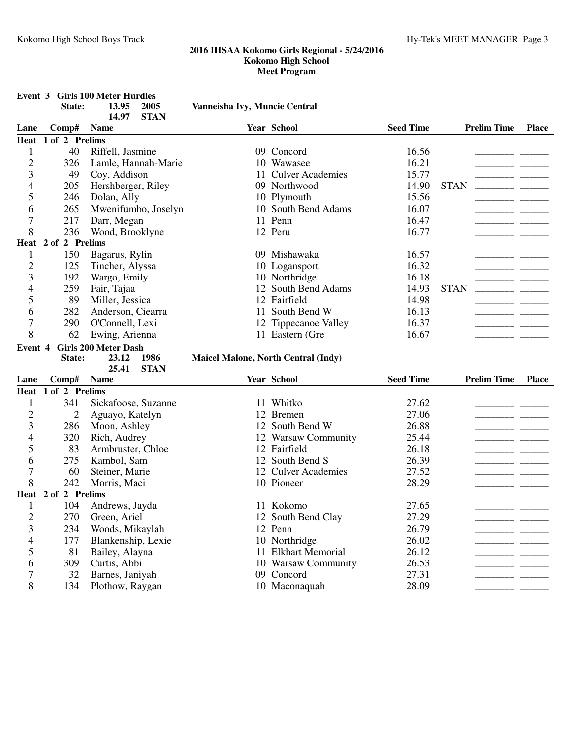|                |                     | <b>Event 3 Girls 100 Meter Hurdles</b> |                     |                                            |                             |                  |                    |              |
|----------------|---------------------|----------------------------------------|---------------------|--------------------------------------------|-----------------------------|------------------|--------------------|--------------|
|                | State:              | 13.95<br>14.97                         | 2005<br><b>STAN</b> | Vanneisha Ivy, Muncie Central              |                             |                  |                    |              |
| Lane           | Comp#               | <b>Name</b>                            |                     |                                            | Year School                 | <b>Seed Time</b> | <b>Prelim Time</b> | <b>Place</b> |
| Heat           | 1 of 2 Prelims      |                                        |                     |                                            |                             |                  |                    |              |
| $\mathbf{1}$   | 40                  | Riffell, Jasmine                       |                     |                                            | 09 Concord                  | 16.56            |                    |              |
| $\overline{2}$ | 326                 | Lamle, Hannah-Marie                    |                     |                                            | 10 Wawasee                  | 16.21            |                    |              |
| 3              | 49                  | Coy, Addison                           |                     |                                            | 11 Culver Academies         | 15.77            |                    |              |
| $\overline{4}$ | 205                 | Hershberger, Riley                     |                     |                                            | 09 Northwood                | 14.90            | <b>STAN</b>        |              |
| 5              | 246                 | Dolan, Ally                            |                     |                                            | 10 Plymouth                 | 15.56            |                    |              |
| 6              | 265                 | Mwenifumbo, Joselyn                    |                     |                                            | 10 South Bend Adams         | 16.07            |                    |              |
| $\overline{7}$ | 217                 | Darr, Megan                            |                     |                                            | 11 Penn                     | 16.47            |                    |              |
| 8              | 236                 | Wood, Brooklyne                        |                     |                                            | 12 Peru                     | 16.77            |                    |              |
| Heat           | 2 of 2 Prelims      |                                        |                     |                                            |                             |                  |                    |              |
| $\mathbf{1}$   | 150                 | Bagarus, Rylin                         |                     |                                            | 09 Mishawaka                | 16.57            |                    |              |
| $\overline{2}$ | 125                 | Tincher, Alyssa                        |                     |                                            | 10 Logansport               | 16.32            |                    |              |
| 3              | 192                 | Wargo, Emily                           |                     |                                            | 10 Northridge               | 16.18            |                    |              |
| 4              | 259                 | Fair, Tajaa                            |                     |                                            | 12 South Bend Adams         | 14.93            | <b>STAN</b>        |              |
| 5              | 89                  | Miller, Jessica                        |                     |                                            | 12 Fairfield                | 14.98            |                    |              |
| 6              | 282                 | Anderson, Ciearra                      |                     |                                            | 11 South Bend W             | 16.13            |                    |              |
| 7              | 290                 | O'Connell, Lexi                        |                     |                                            | 12 Tippecanoe Valley        | 16.37            |                    |              |
| 8              | 62                  | Ewing, Arienna                         |                     |                                            | 11 Eastern (Gre             | 16.67            |                    |              |
| Event 4        |                     | <b>Girls 200 Meter Dash</b>            |                     |                                            |                             |                  |                    |              |
|                |                     |                                        | 1986                | <b>Maicel Malone, North Central (Indy)</b> |                             |                  |                    |              |
|                | State:              | 23.12                                  |                     |                                            |                             |                  |                    |              |
|                |                     | 25.41                                  | <b>STAN</b>         |                                            |                             |                  |                    |              |
| Lane           | Comp#               | <b>Name</b>                            |                     |                                            | Year School                 | <b>Seed Time</b> | <b>Prelim Time</b> | <b>Place</b> |
| Heat           | 1 of 2 Prelims      |                                        |                     |                                            |                             |                  |                    |              |
| 1              | 341                 | Sickafoose, Suzanne                    |                     |                                            | 11 Whitko                   | 27.62            |                    |              |
| $\overline{2}$ | $\overline{2}$      | Aguayo, Katelyn                        |                     |                                            | 12 Bremen                   | 27.06            |                    |              |
| 3              | 286                 | Moon, Ashley                           |                     |                                            | 12 South Bend W             | 26.88            |                    |              |
| 4              | 320                 | Rich, Audrey                           |                     |                                            | 12 Warsaw Community         | 25.44            |                    |              |
| 5              | 83                  | Armbruster, Chloe                      |                     |                                            | 12 Fairfield                | 26.18            |                    |              |
| 6              | 275                 | Kambol, Sam                            |                     |                                            | 12 South Bend S             | 26.39            |                    |              |
| 7              | 60                  | Steiner, Marie                         |                     |                                            | 12 Culver Academies         | 27.52            |                    |              |
| 8              | 242                 | Morris, Maci                           |                     |                                            | 10 Pioneer                  | 28.29            |                    |              |
|                | Heat 2 of 2 Prelims |                                        |                     |                                            |                             |                  |                    |              |
| $\mathbf{1}$   | 104                 | Andrews, Jayda                         |                     |                                            | 11 Kokomo                   | 27.65            |                    |              |
| $\overline{c}$ | 270                 | Green, Ariel                           |                     |                                            | 12 South Bend Clay          | 27.29            |                    |              |
| 3              | 234                 | Woods, Mikaylah                        |                     |                                            | 12 Penn                     | 26.79            |                    |              |
| $\overline{4}$ | 177                 | Blankenship, Lexie                     |                     |                                            | 10 Northridge               | 26.02            |                    |              |
| 5              | 81                  | Bailey, Alayna                         |                     |                                            | 11 Elkhart Memorial         | 26.12            |                    |              |
| 6              | 309                 | Curtis, Abbi                           |                     |                                            | 10 Warsaw Community         | 26.53            |                    |              |
| 7<br>$8\,$     | 32<br>134           | Barnes, Janiyah<br>Plothow, Raygan     |                     |                                            | 09 Concord<br>10 Maconaquah | 27.31<br>28.09   |                    |              |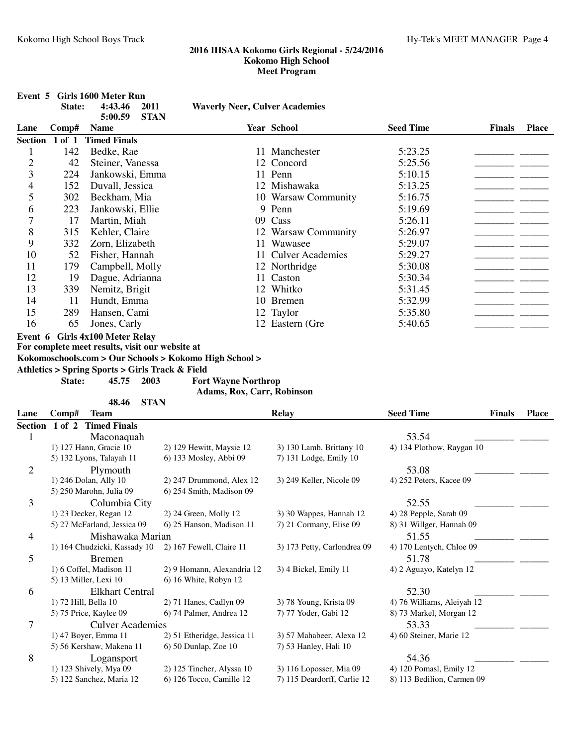|                | State:         | Event 5 Girls 1600 Meter Run<br>4:43.46<br>5:00.59 | 2011<br><b>STAN</b> | <b>Waverly Neer, Culver Academies</b>                  |                                                        |                                                       |               |              |
|----------------|----------------|----------------------------------------------------|---------------------|--------------------------------------------------------|--------------------------------------------------------|-------------------------------------------------------|---------------|--------------|
| Lane           | Comp#          | <b>Name</b>                                        |                     |                                                        | Year School                                            | <b>Seed Time</b>                                      | <b>Finals</b> | <b>Place</b> |
|                | Section 1 of 1 | <b>Timed Finals</b>                                |                     |                                                        |                                                        |                                                       |               |              |
| 1              | 142            | Bedke, Rae                                         |                     |                                                        | 11 Manchester                                          | 5:23.25                                               |               |              |
| $\overline{c}$ | 42             | Steiner, Vanessa                                   |                     |                                                        | 12 Concord                                             | 5:25.56                                               |               |              |
| 3              | 224            | Jankowski, Emma                                    |                     |                                                        | 11 Penn                                                | 5:10.15                                               |               |              |
| 4              | 152            | Duvall, Jessica                                    |                     |                                                        | 12 Mishawaka                                           | 5:13.25                                               |               |              |
| 5              | 302            | Beckham, Mia                                       |                     |                                                        | 10 Warsaw Community                                    | 5:16.75                                               |               |              |
| 6              | 223            | Jankowski, Ellie                                   |                     |                                                        | 9 Penn                                                 | 5:19.69                                               |               |              |
| 7              | 17             | Martin, Miah                                       |                     |                                                        | 09 Cass                                                | 5:26.11                                               |               |              |
| 8              | 315            | Kehler, Claire                                     |                     |                                                        | 12 Warsaw Community                                    | 5:26.97                                               |               |              |
| 9              | 332            | Zorn, Elizabeth                                    |                     |                                                        | 11 Wawasee                                             | 5:29.07                                               |               |              |
| 10             | 52             | Fisher, Hannah                                     |                     |                                                        | 11 Culver Academies                                    | 5:29.27                                               |               |              |
| 11             | 179            | Campbell, Molly                                    |                     |                                                        | 12 Northridge                                          | 5:30.08                                               |               |              |
| 12             | 19             | Dague, Adrianna                                    |                     |                                                        | 11 Caston                                              | 5:30.34                                               |               |              |
| 13             | 339            | Nemitz, Brigit                                     |                     |                                                        | 12 Whitko                                              | 5:31.45                                               |               |              |
| 14             | 11             | Hundt, Emma                                        |                     |                                                        | 10 Bremen                                              | 5:32.99                                               |               |              |
| 15             | 289            | Hansen, Cami                                       |                     |                                                        | 12 Taylor                                              | 5:35.80                                               |               |              |
| 16             | 65             | Jones, Carly                                       |                     |                                                        | 12 Eastern (Gre                                        | 5:40.65                                               |               |              |
|                |                | Event 6 Girls 4x100 Meter Relay                    |                     |                                                        |                                                        |                                                       |               |              |
|                |                | For complete meet results, visit our website at    |                     | Kokomoschools.com > Our Schools > Kokomo High School > |                                                        |                                                       |               |              |
|                |                | Athletics > Spring Sports > Girls Track & Field    |                     |                                                        |                                                        |                                                       |               |              |
|                | State:         | 45.75                                              | 2003                | <b>Fort Wayne Northrop</b>                             |                                                        |                                                       |               |              |
|                |                |                                                    |                     | Adams, Rox, Carr, Robinson                             |                                                        |                                                       |               |              |
|                |                |                                                    |                     |                                                        |                                                        |                                                       |               |              |
|                | Comp#          | 48.46<br><b>Team</b>                               | <b>STAN</b>         |                                                        | <b>Relay</b>                                           | <b>Seed Time</b>                                      | <b>Finals</b> | <b>Place</b> |
|                |                | Section 1 of 2 Timed Finals                        |                     |                                                        |                                                        |                                                       |               |              |
| Lane<br>1      |                |                                                    |                     |                                                        |                                                        | 53.54                                                 |               |              |
|                |                | Maconaquah<br>1) 127 Hann, Gracie 10               |                     | 2) 129 Hewitt, Maysie 12                               | 3) 130 Lamb, Brittany 10                               | 4) 134 Plothow, Raygan 10                             |               |              |
|                |                |                                                    |                     | 6) 133 Mosley, Abbi 09                                 | 7) 131 Lodge, Emily 10                                 |                                                       |               |              |
|                |                | 5) 132 Lyons, Talayah 11                           |                     |                                                        |                                                        | 53.08                                                 |               |              |
| 2              |                | Plymouth<br>1) 246 Dolan, Ally 10                  |                     | 2) 247 Drummond, Alex 12                               | 3) 249 Keller, Nicole 09                               | 4) 252 Peters, Kacee 09                               |               |              |
|                |                | 5) 250 Marohn, Julia 09                            |                     | 6) 254 Smith, Madison 09                               |                                                        |                                                       |               |              |
| 3              |                | Columbia City                                      |                     |                                                        |                                                        | 52.55                                                 |               |              |
|                |                | 1) 23 Decker, Regan 12                             |                     | 2) 24 Green, Molly 12                                  | 3) 30 Wappes, Hannah 12                                | 4) 28 Pepple, Sarah 09                                |               |              |
|                |                | 5) 27 McFarland, Jessica 09                        |                     | 6) 25 Hanson, Madison 11                               | 7) 21 Cormany, Elise 09                                | 8) 31 Willger, Hannah 09                              |               |              |
|                |                | Mishawaka Marian                                   |                     |                                                        |                                                        | 51.55                                                 |               |              |
| 4              |                |                                                    |                     | 2) 167 Fewell, Claire 11                               | 3) 173 Petty, Carlondrea 09                            |                                                       |               |              |
|                |                | 1) 164 Chudzicki, Kassady 10<br><b>Bremen</b>      |                     |                                                        |                                                        | 4) 170 Lentych, Chloe 09<br>51.78                     |               |              |
| 5              |                | 1) 6 Coffel, Madison 11                            |                     | 2) 9 Homann, Alexandria 12                             | 3) 4 Bickel, Emily 11                                  | 4) 2 Aguayo, Katelyn 12                               |               |              |
|                |                | 5) 13 Miller, Lexi 10                              |                     | 6) 16 White, Robyn 12                                  |                                                        |                                                       |               |              |
|                |                |                                                    |                     |                                                        |                                                        |                                                       |               |              |
| 6              |                | <b>Elkhart Central</b><br>1) 72 Hill, Bella 10     |                     | 2) 71 Hanes, Cadlyn 09                                 | 3) 78 Young, Krista 09                                 | 52.30<br>4) 76 Williams, Aleiyah 12                   |               |              |
|                |                | 5) 75 Price, Kaylee 09                             |                     | 6) 74 Palmer, Andrea 12                                | 7) 77 Yoder, Gabi 12                                   | 8) 73 Markel, Morgan 12                               |               |              |
| 7              |                | <b>Culver Academies</b>                            |                     |                                                        |                                                        | 53.33                                                 |               |              |
|                |                | 1) 47 Boyer, Emma 11                               |                     | 2) 51 Etheridge, Jessica 11                            | 3) 57 Mahabeer, Alexa 12                               | 4) 60 Steiner, Marie 12                               |               |              |
|                |                | 5) 56 Kershaw, Makena 11                           |                     | 6) 50 Dunlap, Zoe 10                                   | 7) 53 Hanley, Hali 10                                  |                                                       |               |              |
| 8              |                | Logansport                                         |                     |                                                        |                                                        | 54.36                                                 |               |              |
|                |                | 1) 123 Shively, Mya 09<br>5) 122 Sanchez, Maria 12 |                     | 2) 125 Tincher, Alyssa 10<br>6) 126 Tocco, Camille 12  | 3) 116 Loposser, Mia 09<br>7) 115 Deardorff, Carlie 12 | 4) 120 Pomasl, Emily 12<br>8) 113 Bedilion, Carmen 09 |               |              |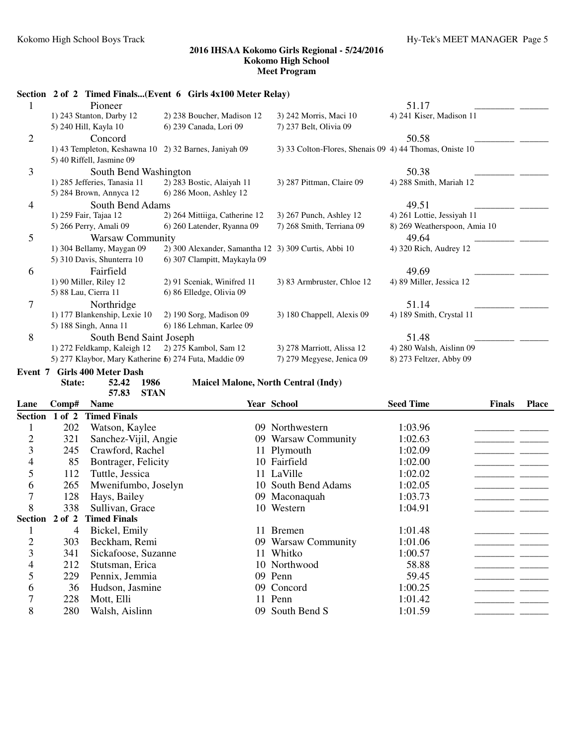|                       |                                                       | Section 2 of 2 Timed Finals(Event 6 Girls 4x100 Meter Relay)             |                                                         |                              |                                                              |
|-----------------------|-------------------------------------------------------|--------------------------------------------------------------------------|---------------------------------------------------------|------------------------------|--------------------------------------------------------------|
|                       | Pioneer                                               |                                                                          |                                                         | 51.17                        |                                                              |
|                       | 1) 243 Stanton, Darby 12                              | 2) 238 Boucher, Madison 12                                               | 3) 242 Morris, Maci 10                                  | 4) 241 Kiser, Madison 11     |                                                              |
|                       | 5) 240 Hill, Kayla 10                                 | 6) 239 Canada, Lori 09                                                   | 7) 237 Belt, Olivia 09                                  |                              |                                                              |
| 2                     | Concord                                               |                                                                          |                                                         | 50.58                        |                                                              |
|                       | 1) 43 Templeton, Keshawna 10 2) 32 Barnes, Janiyah 09 |                                                                          | 3) 33 Colton-Flores, Shenais 09 4) 44 Thomas, Oniste 10 |                              |                                                              |
|                       | 5) 40 Riffell, Jasmine 09                             |                                                                          |                                                         |                              |                                                              |
| 3                     | South Bend Washington                                 |                                                                          |                                                         | 50.38                        |                                                              |
|                       | 1) 285 Jefferies, Tanasia 11                          | 2) 283 Bostic, Alaiyah 11                                                | 3) 287 Pittman, Claire 09                               | 4) 288 Smith, Mariah 12      |                                                              |
|                       | 5) 284 Brown, Annyca 12                               | 6) 286 Moon, Ashley 12                                                   |                                                         |                              |                                                              |
| South Bend Adams<br>4 |                                                       |                                                                          |                                                         | 49.51                        |                                                              |
|                       | 1) 259 Fair, Tajaa 12                                 | 2) 264 Mittiiga, Catherine 12                                            | 3) 267 Punch, Ashley 12                                 | 4) 261 Lottie, Jessiyah 11   |                                                              |
|                       | 5) 266 Perry, Amali 09                                | 6) 260 Latender, Ryanna 09                                               | 7) 268 Smith, Terriana 09                               | 8) 269 Weatherspoon, Amia 10 |                                                              |
| 5                     | <b>Warsaw Community</b>                               |                                                                          |                                                         | 49.64                        |                                                              |
|                       | 1) 304 Bellamy, Maygan 09                             | 2) 300 Alexander, Samantha 12 3) 309 Curtis, Abbi 10                     |                                                         | 4) 320 Rich, Audrey 12       |                                                              |
|                       | 5) 310 Davis, Shunterra 10                            | 6) 307 Clampitt, Maykayla 09                                             |                                                         |                              |                                                              |
| 6                     | Fairfield                                             |                                                                          |                                                         | 49.69                        |                                                              |
|                       | $1)$ 90 Miller, Riley 12                              | 2) 91 Sceniak, Winifred 11                                               | 3) 83 Armbruster, Chloe 12                              | 4) 89 Miller, Jessica 12     |                                                              |
|                       | 5) 88 Lau, Cierra 11                                  | 6) 86 Elledge, Olivia 09                                                 |                                                         |                              |                                                              |
| 7                     | Northridge                                            |                                                                          |                                                         | 51.14                        |                                                              |
|                       | 1) 177 Blankenship, Lexie 10                          | 2) 190 Sorg, Madison 09                                                  | 3) 180 Chappell, Alexis 09                              | 4) 189 Smith, Crystal 11     |                                                              |
|                       | 5) 188 Singh, Anna 11                                 | 6) 186 Lehman, Karlee 09                                                 |                                                         |                              |                                                              |
| 8                     | South Bend Saint Joseph                               |                                                                          |                                                         | 51.48                        |                                                              |
|                       | 1) 272 Feldkamp, Kaleigh 12                           | 2) 275 Kambol, Sam 12                                                    | 3) 278 Marriott, Alissa 12                              | 4) 280 Walsh, Aislinn 09     |                                                              |
|                       | 5) 277 Klaybor, Mary Katherine 6) 274 Futa, Maddie 09 |                                                                          | 7) 279 Megyese, Jenica 09                               | 8) 273 Feltzer, Abby 09      |                                                              |
| Event 7               | <b>Girls 400 Meter Dash</b>                           |                                                                          |                                                         |                              |                                                              |
|                       | 1986<br>State:<br>52.42                               | <b>Maicel Malone, North Central (Indy)</b>                               |                                                         |                              |                                                              |
|                       | <b>STAN</b><br>57.83                                  |                                                                          |                                                         |                              |                                                              |
|                       | $C_1, \ldots, C_n$                                    | $\mathbf{V}$ . $\mathbf{V}$ . $\mathbf{V}$ . $\mathbf{V}$ . $\mathbf{V}$ |                                                         | $C_{2}$ . $T_{1}$            | $\mathbf{E}^{\mathbf{A}}$ and $\mathbf{E}^{\mathbf{A}}$<br>m |

| Lane           | Comp#          | <b>Name</b>                 |     | Year School         | <b>Seed Time</b> | <b>Finals</b> | <b>Place</b> |
|----------------|----------------|-----------------------------|-----|---------------------|------------------|---------------|--------------|
|                |                | Section 1 of 2 Timed Finals |     |                     |                  |               |              |
|                | 202            | Watson, Kaylee              |     | 09 Northwestern     | 1:03.96          |               |              |
| $\overline{2}$ | 321            | Sanchez-Vijil, Angie        |     | 09 Warsaw Community | 1:02.63          |               |              |
| 3              | 245            | Crawford, Rachel            |     | 11 Plymouth         | 1:02.09          |               |              |
| 4              | 85             | Bontrager, Felicity         |     | 10 Fairfield        | 1:02.00          |               |              |
| 5              | 112            | Tuttle, Jessica             |     | 11 LaVille          | 1:02.02          |               |              |
| 6              | 265            | Mwenifumbo, Joselyn         |     | 10 South Bend Adams | 1:02.05          |               |              |
| 7              | 128            | Hays, Bailey                |     | 09 Maconaquah       | 1:03.73          |               |              |
| 8              | 338            | Sullivan, Grace             |     | 10 Western          | 1:04.91          |               |              |
|                | Section 2 of 2 | <b>Timed Finals</b>         |     |                     |                  |               |              |
|                | 4              | Bickel, Emily               |     | 11 Bremen           | 1:01.48          |               |              |
| $\overline{2}$ | 303            | Beckham, Remi               |     | 09 Warsaw Community | 1:01.06          |               |              |
| 3              | 341            | Sickafoose, Suzanne         |     | 11 Whitko           | 1:00.57          |               |              |
| 4              | 212            | Stutsman, Erica             |     | 10 Northwood        | 58.88            |               |              |
| 5              | 229            | Pennix, Jemmia              |     | 09 Penn             | 59.45            |               |              |
| 6              | 36             | Hudson, Jasmine             |     | 09 Concord          | 1:00.25          |               |              |
| 7              | 228            | Mott, Elli                  |     | 11 Penn             | 1:01.42          |               |              |
| 8              | 280            | Walsh, Aislinn              | 09. | South Bend S        | 1:01.59          |               |              |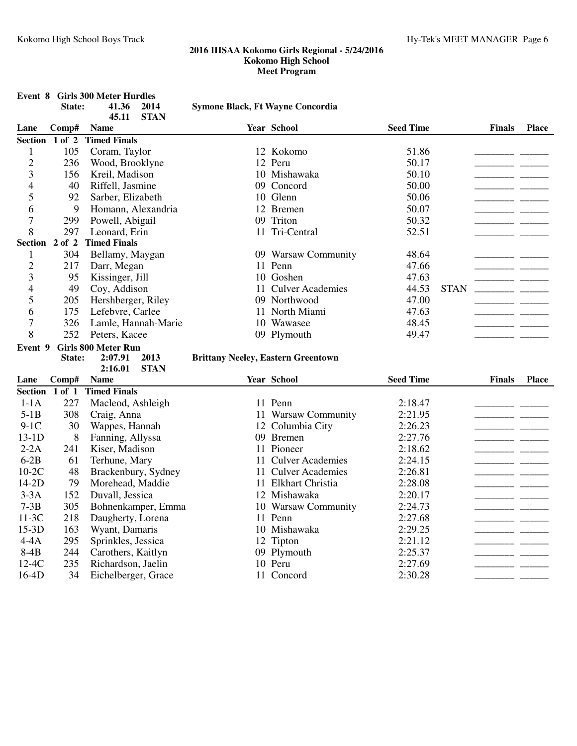|                  | State:         | <b>Event 8 Girls 300 Meter Hurdles</b><br>41.36<br>2014<br>45.11<br><b>STAN</b> | <b>Symone Black, Ft Wayne Concordia</b>   |                     |                  |             |                                                                                                                                                                                                                                                                                                                                                                                                                                                       |              |
|------------------|----------------|---------------------------------------------------------------------------------|-------------------------------------------|---------------------|------------------|-------------|-------------------------------------------------------------------------------------------------------------------------------------------------------------------------------------------------------------------------------------------------------------------------------------------------------------------------------------------------------------------------------------------------------------------------------------------------------|--------------|
| Lane             | Comp#          | <b>Name</b>                                                                     |                                           | Year School         | <b>Seed Time</b> |             | <b>Finals</b>                                                                                                                                                                                                                                                                                                                                                                                                                                         | <b>Place</b> |
|                  | Section 1 of 2 | <b>Timed Finals</b>                                                             |                                           |                     |                  |             |                                                                                                                                                                                                                                                                                                                                                                                                                                                       |              |
| $\mathbf{1}$     | 105            | Coram, Taylor                                                                   |                                           | 12 Kokomo           | 51.86            |             | __                                                                                                                                                                                                                                                                                                                                                                                                                                                    |              |
| $\overline{2}$   | 236            | Wood, Brooklyne                                                                 |                                           | 12 Peru             | 50.17            |             | ____________                                                                                                                                                                                                                                                                                                                                                                                                                                          |              |
| 3                | 156            | Kreil, Madison                                                                  |                                           | 10 Mishawaka        | 50.10            |             | $\begin{tabular}{ccccc} \multicolumn{2}{c }{\textbf{1} & \multicolumn{2}{c }{\textbf{2} & \multicolumn{2}{c }{\textbf{3} & \multicolumn{2}{c }{\textbf{4} & \multicolumn{2}{c }{\textbf{5} & \multicolumn{2}{c }{\textbf{6} & \multicolumn{2}{c }{\textbf{6} & \multicolumn{2}{c }{\textbf{6} & \multicolumn{2}{c }{\textbf{6} & \multicolumn{2}{c }{\textbf{6} & \multicolumn{2}{c }{\textbf{6} & \multicolumn{2}{c }{\textbf{6} & \multicolumn{2}{$ |              |
| $\overline{4}$   | 40             | Riffell, Jasmine                                                                |                                           | 09 Concord          | 50.00            |             | ___                                                                                                                                                                                                                                                                                                                                                                                                                                                   |              |
| 5                | 92             | Sarber, Elizabeth                                                               |                                           | 10 Glenn            | 50.06            |             | - -                                                                                                                                                                                                                                                                                                                                                                                                                                                   |              |
| 6                | 9              | Homann, Alexandria                                                              |                                           | 12 Bremen           | 50.07            |             |                                                                                                                                                                                                                                                                                                                                                                                                                                                       |              |
| $\overline{7}$   | 299            | Powell, Abigail                                                                 |                                           | 09 Triton           | 50.32            |             |                                                                                                                                                                                                                                                                                                                                                                                                                                                       |              |
| 8                | 297            | Leonard, Erin                                                                   |                                           | 11 Tri-Central      | 52.51            |             |                                                                                                                                                                                                                                                                                                                                                                                                                                                       |              |
| Section 2 of 2   |                | <b>Timed Finals</b>                                                             |                                           |                     |                  |             |                                                                                                                                                                                                                                                                                                                                                                                                                                                       |              |
| $\mathbf{1}$     | 304            | Bellamy, Maygan                                                                 |                                           | 09 Warsaw Community | 48.64            |             |                                                                                                                                                                                                                                                                                                                                                                                                                                                       |              |
| $\overline{2}$   | 217            | Darr, Megan                                                                     |                                           | 11 Penn             | 47.66            |             |                                                                                                                                                                                                                                                                                                                                                                                                                                                       |              |
| 3                | 95             | Kissinger, Jill                                                                 |                                           | 10 Goshen           | 47.63            |             |                                                                                                                                                                                                                                                                                                                                                                                                                                                       |              |
| 4                | 49             | Coy, Addison                                                                    |                                           | 11 Culver Academies | 44.53            | <b>STAN</b> |                                                                                                                                                                                                                                                                                                                                                                                                                                                       |              |
| 5                | 205            | Hershberger, Riley                                                              |                                           | 09 Northwood        | 47.00            |             |                                                                                                                                                                                                                                                                                                                                                                                                                                                       |              |
| 6                | 175            | Lefebvre, Carlee                                                                |                                           | 11 North Miami      | 47.63            |             |                                                                                                                                                                                                                                                                                                                                                                                                                                                       |              |
| $\boldsymbol{7}$ | 326            | Lamle, Hannah-Marie                                                             |                                           | 10 Wawasee          | 48.45            |             |                                                                                                                                                                                                                                                                                                                                                                                                                                                       |              |
| 8                | 252            | Peters, Kacee                                                                   |                                           | 09 Plymouth         | 49.47            |             |                                                                                                                                                                                                                                                                                                                                                                                                                                                       |              |
| Event 9          |                | <b>Girls 800 Meter Run</b>                                                      |                                           |                     |                  |             |                                                                                                                                                                                                                                                                                                                                                                                                                                                       |              |
|                  | State:         | 2:07.91<br>2013                                                                 | <b>Brittany Neeley, Eastern Greentown</b> |                     |                  |             |                                                                                                                                                                                                                                                                                                                                                                                                                                                       |              |
|                  |                | <b>STAN</b><br>2:16.01                                                          |                                           |                     |                  |             |                                                                                                                                                                                                                                                                                                                                                                                                                                                       |              |
| Lane             | Comp#          | <b>Name</b>                                                                     |                                           | <b>Year School</b>  | <b>Seed Time</b> |             | <b>Finals</b>                                                                                                                                                                                                                                                                                                                                                                                                                                         | <b>Place</b> |
| Section 1 of 1   |                | <b>Timed Finals</b>                                                             |                                           |                     |                  |             |                                                                                                                                                                                                                                                                                                                                                                                                                                                       |              |
| $1-1A$           | 227            | Macleod, Ashleigh                                                               |                                           | 11 Penn             | 2:18.47          |             |                                                                                                                                                                                                                                                                                                                                                                                                                                                       |              |
| $5-1B$           | 308            | Craig, Anna                                                                     |                                           | 11 Warsaw Community | 2:21.95          |             |                                                                                                                                                                                                                                                                                                                                                                                                                                                       |              |
| $9-1C$           | 30             | Wappes, Hannah                                                                  |                                           | 12 Columbia City    | 2:26.23          |             |                                                                                                                                                                                                                                                                                                                                                                                                                                                       |              |
| $13-1D$          | 8              | Fanning, Allyssa                                                                |                                           | 09 Bremen           | 2:27.76          |             | -- --                                                                                                                                                                                                                                                                                                                                                                                                                                                 |              |
| $2-2A$           | 241            | Kiser, Madison                                                                  |                                           | 11 Pioneer          | 2:18.62          |             | - -                                                                                                                                                                                                                                                                                                                                                                                                                                                   |              |
| $6-2B$           | 61             | Terhune, Mary                                                                   |                                           | 11 Culver Academies | 2:24.15          |             | $\overline{a}$                                                                                                                                                                                                                                                                                                                                                                                                                                        |              |
| $10-2C$          | 48             | Brackenbury, Sydney                                                             |                                           | 11 Culver Academies | 2:26.81          |             |                                                                                                                                                                                                                                                                                                                                                                                                                                                       |              |
| $14-2D$          | 79             | Morehead, Maddie                                                                |                                           | 11 Elkhart Christia | 2:28.08          |             |                                                                                                                                                                                                                                                                                                                                                                                                                                                       |              |
| $3-3A$           | 152            | Duvall, Jessica                                                                 |                                           | 12 Mishawaka        | 2:20.17          |             |                                                                                                                                                                                                                                                                                                                                                                                                                                                       |              |
| $7-3B$           | 305            | Bohnenkamper, Emma                                                              |                                           | 10 Warsaw Community | 2:24.73          |             | - -                                                                                                                                                                                                                                                                                                                                                                                                                                                   |              |
| $11-3C$          | 218            | Daugherty, Lorena                                                               |                                           | 11 Penn             | 2:27.68          |             | -- --                                                                                                                                                                                                                                                                                                                                                                                                                                                 |              |
| $15-3D$          | 163            | Wyant, Damaris                                                                  |                                           | 10 Mishawaka        | 2:29.25          |             |                                                                                                                                                                                                                                                                                                                                                                                                                                                       |              |
| $4-4A$           | 295            | Sprinkles, Jessica                                                              |                                           | 12 Tipton           | 2:21.12          |             | - -                                                                                                                                                                                                                                                                                                                                                                                                                                                   |              |
| $8-4B$           | 244            | Carothers, Kaitlyn                                                              |                                           | 09 Plymouth         | 2:25.37          |             | - -                                                                                                                                                                                                                                                                                                                                                                                                                                                   |              |
| $12-4C$          | 235            | Richardson, Jaelin                                                              |                                           | 10 Peru             | 2:27.69          |             |                                                                                                                                                                                                                                                                                                                                                                                                                                                       |              |
| $16-4D$          | 34             | Eichelberger, Grace                                                             |                                           | 11 Concord          | 2:30.28          |             |                                                                                                                                                                                                                                                                                                                                                                                                                                                       |              |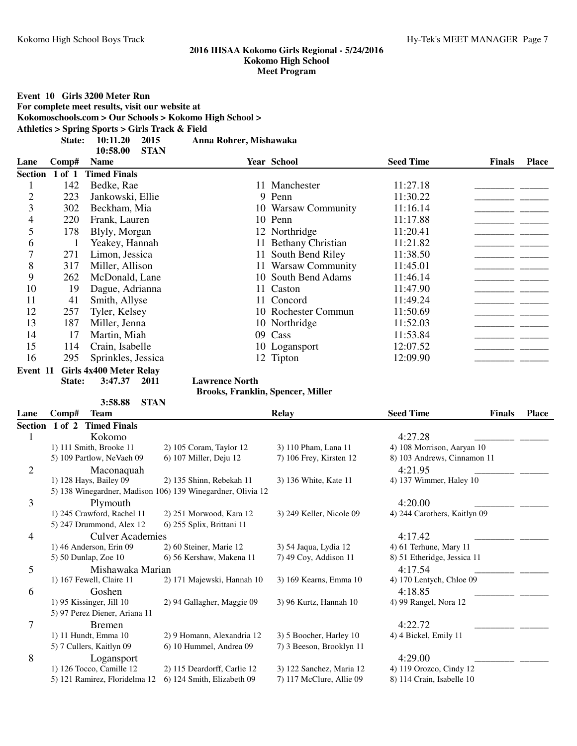**Event 10 Girls 3200 Meter Run For complete meet results, visit our website at Kokomoschools.com > Our Schools > Kokomo High School > Athletics > Spring Sports > Girls Track & Field State: 10:11.20 Anna Rohrer, Mishawaka 2015 10:58.00 STAN Lane Comp# Name Year School Seed Time Finals Place Section 1 of 1 Timed Finals** 1 142 Bedke, Rae 11 Manchester 11:27.18 \_\_\_\_\_\_\_\_\_\_\_\_\_\_\_\_\_\_\_\_\_ \_\_\_\_\_\_\_ 2 223 Jankowski, Ellie 9 Penn 11:30.22 223 Jankowski, Ellie 9 Penn 11:30.22 223 Deckham, Mia 202 223 22 223 22 3 302 Beckham, Mia 10 Warsaw Community 11:16.14<br>4 220 Frank Lauren 10 Penn 11:17.88 4 220 Frank, Lauren 10 Penn 11:17.88 11:17.88 5 178 Blyly, Morgan 12 Northridge 11:20.41 <u>\_\_\_\_\_\_\_\_\_\_\_\_\_\_\_\_\_\_\_\_\_\_\_\_\_</u> 6 1 Yeakey, Hannah 11 Bethany Christian 11:21.82 \_\_\_\_\_\_\_\_\_\_\_\_\_\_\_\_\_\_\_\_\_ \_\_\_\_\_\_\_ 7 271 Limon, Jessica 11 South Bend Riley 11:38.50<br>
8 317 Miller, Allison 11 Warsaw Community 11:45.01 317 Miller, Allison 11 Warsaw Community 11:45.01 9 262 McDonald, Lane 10 South Bend Adams 11:46.14 \_\_\_\_\_\_\_\_\_\_\_\_\_\_\_\_\_\_\_\_\_\_\_\_\_\_\_\_\_\_ 10 19 Dague, Adrianna 11 Caston 11:47.90 <u>\_\_\_\_\_\_\_\_\_\_\_\_\_\_</u> 11 41 Smith, Allyse 11 Concord 11:49.24 \_\_\_\_\_\_\_\_\_\_\_\_\_\_\_\_\_\_\_\_\_ \_\_\_\_\_\_\_ 12 257 Tyler, Kelsey 10 Rochester Commun 11:50.69 13 187 Miller, Jenna 10 Northridge 11:52.03 11:52.03 14 17 Martin, Miah 09 Cass 11:53.84 \_\_\_\_\_\_\_\_\_\_\_\_\_\_\_\_\_\_\_\_\_ \_\_\_\_\_\_\_ 15 114 Crain, Isabelle 10 Logansport 12:07.52 \_\_\_\_\_\_\_\_\_\_\_\_\_\_\_\_\_\_\_\_\_\_\_\_\_\_\_\_\_\_\_\_\_\_ 16 295 Sprinkles, Jessica 12 Tipton 12:09.90 **Event 11 Girls 4x400 Meter Relay State: 3:47.37 Lawrence North 2011 Brooks, Franklin, Spencer, Miller 3:58.88 STAN Lane Comp# Team Relay Seed Time Finals Place Section 1 of 2 Timed Finals** 1 Kokomo 4:27.28 \_\_\_\_\_\_\_\_\_\_\_\_\_\_\_\_\_\_\_\_\_ \_\_\_\_\_\_\_ 1) 111 Smith, Brooke 11 2) 105 Coram, Taylor 12 3) 110 Pham, Lana 11 4) 108 Morrison, Aaryan 10 5) 109 Partlow, NeVaeh 09 6) 107 Miller, Deju 12 7) 106 Frey, Kirsten 12 8) 103 Andrews, Cinnamon 11 2 Maconaquah 4:21.95 \_\_\_\_\_\_\_\_\_\_\_\_\_\_\_\_\_\_\_\_\_ \_\_\_\_\_\_\_ 1) 128 Hays, Bailey 09 2) 135 Shinn, Rebekah 11 3) 136 White, Kate 11 4) 137 Wimmer, Haley 10 5) 138 Winegardner, Madison 106) 139 Winegardner, Olivia 12 3 Plymouth 4:20.00 \_\_\_\_\_\_\_\_\_\_\_\_\_\_\_\_\_\_\_\_\_ \_\_\_\_\_\_\_ 1) 245 Crawford, Rachel 11 2) 251 Morwood, Kara 12 3) 249 Keller, Nicole 09 4) 244 Carothers, Kaitlyn 09 5) 247 Drummond, Alex 12 6) 255 Splix, Brittani 11

4 Culver Academies 4:17.42<br>1) 46 Anderson, Erin 09 2) 60 Steiner, Marie 12 3) 54 Jaqua, Lydia 12 4) 61 Terhune, Mary 11 1) 46 Anderson, Erin 09 2) 60 Steiner, Marie 12 3) 54 Jaqua, Lydia 12 5) 50 Dunlap, Zoe 10 6) 56 Kershaw, Makena 11 7) 49 Coy, Addison 11 8) 51 Etheridge, Jessica 11 5 Mishawaka Marian 4:17.54 <br>1) 167 Fewell, Claire 11 <br>2) 171 Majewski, Hannah 10 <br>3) 169 Kearns, Emma 10 <br>4) 170 Lentych, Chloe 09 2) 171 Majewski, Hannah 10 6 Goshen  $\frac{4:18.85}{\frac{1}{2} \cdot \frac{1}{2} \cdot \frac{1}{2} \cdot \frac{1}{2} \cdot \frac{1}{2} \cdot \frac{1}{2} \cdot \frac{1}{2} \cdot \frac{1}{2} \cdot \frac{1}{2} \cdot \frac{1}{2} \cdot \frac{1}{2} \cdot \frac{1}{2} \cdot \frac{1}{2} \cdot \frac{1}{2} \cdot \frac{1}{2} \cdot \frac{1}{2} \cdot \frac{1}{2} \cdot \frac{1}{2} \cdot \frac{1}{2} \cdot \frac{1}{2} \cdot \frac{1}{2} \cdot \frac{1}{2} \cdot \frac$ 1) 95 Kissinger, Jill 10 2) 94 Gallagher, Maggie 09 3) 96 Kurtz, Hannah 10 4) 99 Rangel, Nora 12 5) 97 Perez Diener, Ariana 11 7 Bremen Bremen 2007 Bremen 2007 1:22.72 <u>\_\_\_\_\_\_\_\_\_\_\_\_\_\_\_\_\_\_\_\_\_\_\_\_\_\_\_\_\_\_\_\_</u> 1) 11 Hundt, Emma 10 2) 9 Homann, Alexandria 12 3) 5 Boocher, Harley 10 4) 4 Bickel, Emily 11 5) 7 Cullers, Kaitlyn 09 6) 10 Hummel, Andrea 09 7) 3 Beeson, Brooklyn 11 8 Logansport 4:29.00 \_\_\_\_\_\_\_\_\_\_\_\_\_\_\_\_\_\_\_\_\_ \_\_\_\_\_\_\_ 1) 126 Tocco, Camille 12 2) 115 Deardorff, Carlie 12 3) 122 Sanchez, Maria 12 4) 119 Orozco, Cindy 12 5) 121 Ramirez, Floridelma 12 6) 124 Smith, Elizabeth 09 7) 117 McClure, Allie 09 8) 114 Crain, Isabelle 10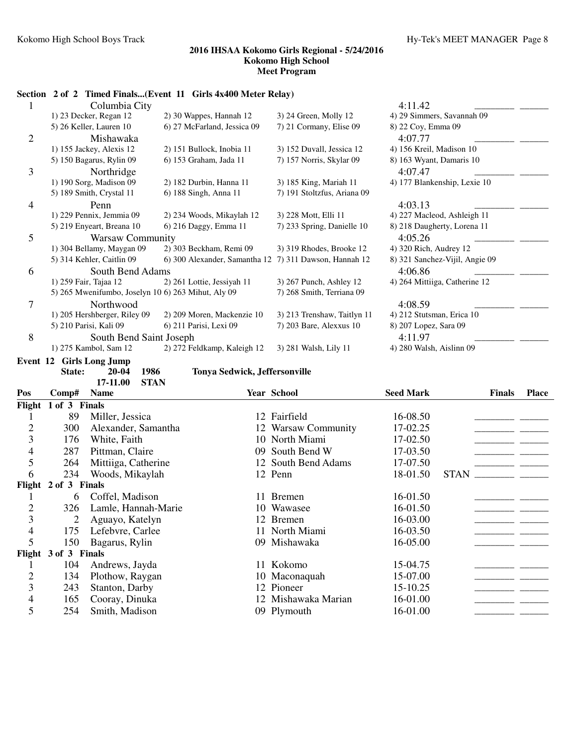# **Section 2 of 2 Timed Finals...(Event 11 Girls 4x400 Meter Relay)**

|                | Columbia City                                      |                                                        |                             | 4:11.42                        |
|----------------|----------------------------------------------------|--------------------------------------------------------|-----------------------------|--------------------------------|
|                | 1) 23 Decker, Regan 12                             | 2) 30 Wappes, Hannah 12                                | 3) 24 Green, Molly 12       | 4) 29 Simmers, Savannah 09     |
|                | 5) 26 Keller, Lauren 10                            | 6) 27 McFarland, Jessica 09                            | 7) 21 Cormany, Elise 09     | 8) 22 Coy, Emma 09             |
| $\overline{2}$ | Mishawaka                                          |                                                        |                             | 4:07.77                        |
|                | 1) 155 Jackey, Alexis 12                           | 2) 151 Bullock, Inobia 11                              | 3) 152 Duvall, Jessica 12   | 4) 156 Kreil, Madison 10       |
|                | 5) 150 Bagarus, Rylin 09                           | 6) 153 Graham, Jada 11                                 | 7) 157 Norris, Skylar 09    | 8) 163 Wyant, Damaris 10       |
| 3              | Northridge                                         |                                                        |                             | 4:07.47                        |
|                | 1) 190 Sorg, Madison 09                            | 2) 182 Durbin, Hanna 11                                | 3) 185 King, Mariah 11      | 4) 177 Blankenship, Lexie 10   |
|                | 5) 189 Smith, Crystal 11                           | 6) 188 Singh, Anna 11                                  | 7) 191 Stoltzfus, Ariana 09 |                                |
| 4              | Penn                                               |                                                        |                             | 4:03.13                        |
|                | 1) 229 Pennix, Jemmia 09                           | 2) 234 Woods, Mikaylah 12                              | 3) 228 Mott, Elli 11        | 4) 227 Macleod, Ashleigh 11    |
|                | 5) 219 Enyeart, Breana 10                          | 6) 216 Daggy, Emma 11                                  | 7) 233 Spring, Danielle 10  | 8) 218 Daugherty, Lorena 11    |
| 5              | <b>Warsaw Community</b>                            |                                                        |                             | 4:05.26                        |
|                | 1) 304 Bellamy, Maygan 09                          | 2) 303 Beckham, Remi 09                                | 3) 319 Rhodes, Brooke 12    | 4) 320 Rich, Audrey 12         |
|                | 5) 314 Kehler, Caitlin 09                          | 6) 300 Alexander, Samantha 12 7) 311 Dawson, Hannah 12 |                             | 8) 321 Sanchez-Vijil, Angie 09 |
| 6              | South Bend Adams                                   |                                                        |                             | 4:06.86                        |
|                | 1) 259 Fair, Tajaa 12                              | 2) 261 Lottie, Jessiyah 11                             | 3) 267 Punch, Ashley 12     | 4) 264 Mittiiga, Catherine 12  |
|                | 5) 265 Mwenifumbo, Joselyn 10 6) 263 Mihut, Aly 09 |                                                        | 7) 268 Smith, Terriana 09   |                                |
| 7              | Northwood                                          |                                                        |                             | 4:08.59                        |
|                | 1) 205 Hershberger, Riley 09                       | 2) 209 Moren, Mackenzie 10                             | 3) 213 Trenshaw, Taitlyn 11 | 4) 212 Stutsman, Erica 10      |
|                | 5) 210 Parisi, Kali 09                             | 6) 211 Parisi, Lexi 09                                 | 7) 203 Bare, Alexxus 10     | 8) 207 Lopez, Sara 09          |
| 8              | South Bend Saint Joseph                            |                                                        |                             | 4:11.97                        |
|                | 1) 275 Kambol, Sam 12                              | 2) 272 Feldkamp, Kaleigh 12                            | 3) 281 Walsh, Lily 11       | 4) 280 Walsh, Aislinn 09       |
| Event 12       | <b>Girls Long Jump</b>                             |                                                        |                             |                                |
|                | 1986<br>20-04<br>State:                            | Tonya Sedwick, Jeffersonville                          |                             |                                |
|                | 17-11.00<br><b>STAN</b>                            |                                                        |                             |                                |

| Pos            | Comp#         | <b>Name</b>         |     | <b>Year School</b>  | <b>Seed Mark</b> | <b>Finals</b> | <b>Place</b> |
|----------------|---------------|---------------------|-----|---------------------|------------------|---------------|--------------|
| Flight         | 1 of 3 Finals |                     |     |                     |                  |               |              |
|                | 89            | Miller, Jessica     |     | 12 Fairfield        | 16-08.50         |               |              |
| $\overline{2}$ | 300           | Alexander, Samantha |     | 12 Warsaw Community | 17-02.25         |               |              |
| 3              | 176           | White, Faith        |     | 10 North Miami      | 17-02.50         |               |              |
| 4              | 287           | Pittman, Claire     | 09. | South Bend W        | 17-03.50         |               |              |
| 5              | 264           | Mittiiga, Catherine |     | 12 South Bend Adams | 17-07.50         |               |              |
| 6              | 234           | Woods, Mikaylah     |     | 12 Penn             | 18-01.50         | <b>STAN</b>   |              |
| Flight         | 2 of 3 Finals |                     |     |                     |                  |               |              |
|                | 6             | Coffel, Madison     | 11. | <b>Bremen</b>       | 16-01.50         |               |              |
| $\overline{2}$ | 326           | Lamle, Hannah-Marie |     | 10 Wawasee          | 16-01.50         |               |              |
| 3              | 2             | Aguayo, Katelyn     |     | 12 Bremen           | 16-03.00         |               |              |
| 4              | 175           | Lefebvre, Carlee    |     | 11 North Miami      | 16-03.50         |               |              |
| 5              | 150           | Bagarus, Rylin      |     | 09 Mishawaka        | 16-05.00         |               |              |
| Flight         | 3 of 3 Finals |                     |     |                     |                  |               |              |
|                | 104           | Andrews, Jayda      | 11. | Kokomo              | 15-04.75         |               |              |
| $\overline{2}$ | 134           | Plothow, Raygan     |     | 10 Maconaquah       | 15-07.00         |               |              |
| 3              | 243           | Stanton, Darby      |     | 12 Pioneer          | 15-10.25         |               |              |
| 4              | 165           | Cooray, Dinuka      |     | 12 Mishawaka Marian | 16-01.00         |               |              |
| 5              | 254           | Smith, Madison      |     | 09 Plymouth         | 16-01.00         |               |              |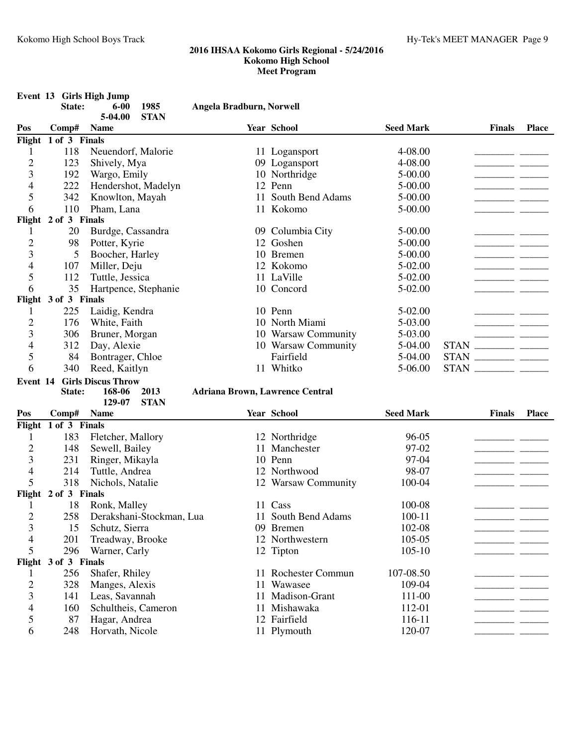|                     |                      | Event 13 Girls High Jump  |                                        |                     |                  |               |              |
|---------------------|----------------------|---------------------------|----------------------------------------|---------------------|------------------|---------------|--------------|
|                     | State:               | 1985<br>$6 - 00$          | Angela Bradburn, Norwell               |                     |                  |               |              |
|                     |                      | <b>STAN</b><br>5-04.00    |                                        |                     |                  |               |              |
| Pos                 | Comp#                | <b>Name</b>               |                                        | Year School         | <b>Seed Mark</b> | <b>Finals</b> | <b>Place</b> |
| Flight              | 1 of 3 Finals        |                           |                                        |                     |                  |               |              |
| 1                   | 118                  | Neuendorf, Malorie        |                                        | 11 Logansport       | 4-08.00          |               |              |
| $\overline{c}$      | 123                  | Shively, Mya              |                                        | 09 Logansport       | 4-08.00          |               |              |
| 3                   | 192                  | Wargo, Emily              |                                        | 10 Northridge       | 5-00.00          |               |              |
| 4                   | 222                  | Hendershot, Madelyn       |                                        | 12 Penn             | 5-00.00          |               |              |
| 5                   | 342                  | Knowlton, Mayah           | 11                                     | South Bend Adams    | 5-00.00          |               |              |
| 6                   | 110                  | Pham, Lana                |                                        | 11 Kokomo           | 5-00.00          |               |              |
|                     | Flight 2 of 3 Finals |                           |                                        |                     |                  |               |              |
| 1                   | 20                   | Burdge, Cassandra         |                                        | 09 Columbia City    | 5-00.00          |               |              |
| $\overline{c}$      | 98                   | Potter, Kyrie             |                                        | 12 Goshen           | 5-00.00          |               |              |
| 3                   | 5                    | Boocher, Harley           |                                        | 10 Bremen           | 5-00.00          |               |              |
| 4                   | 107                  | Miller, Deju              |                                        | 12 Kokomo           | 5-02.00          |               |              |
| 5                   | 112                  | Tuttle, Jessica           |                                        | 11 LaVille          | 5-02.00          |               |              |
| 6                   | 35                   | Hartpence, Stephanie      |                                        | 10 Concord          | 5-02.00          |               |              |
|                     | Flight 3 of 3 Finals |                           |                                        |                     |                  |               |              |
| 1                   | 225                  | Laidig, Kendra            |                                        | 10 Penn             | 5-02.00          |               |              |
| $\overline{c}$      | 176                  | White, Faith              |                                        | 10 North Miami      | 5-03.00          |               |              |
| 3                   | 306                  | Bruner, Morgan            |                                        | 10 Warsaw Community | 5-03.00          |               |              |
| 4                   | 312                  | Day, Alexie               |                                        | 10 Warsaw Community | 5-04.00          | <b>STAN</b>   |              |
| 5                   | 84                   | Bontrager, Chloe          |                                        | Fairfield           | 5-04.00          | <b>STAN</b>   |              |
| 6                   | 340                  | Reed, Kaitlyn             |                                        | 11 Whitko           | 5-06.00          | <b>STAN</b>   |              |
| Event 14            |                      | <b>Girls Discus Throw</b> |                                        |                     |                  |               |              |
|                     | State:               | 168-06<br>2013            | <b>Adriana Brown, Lawrence Central</b> |                     |                  |               |              |
|                     |                      | <b>STAN</b><br>129-07     |                                        |                     |                  |               |              |
| Pos                 | Comp#                | <b>Name</b>               |                                        | Year School         | <b>Seed Mark</b> | <b>Finals</b> | <b>Place</b> |
| Flight              | 1 of 3 Finals        |                           |                                        |                     |                  |               |              |
| 1                   | 183                  | Fletcher, Mallory         |                                        | 12 Northridge       | 96-05            |               |              |
| $\overline{c}$      | 148                  | Sewell, Bailey            | 11                                     | Manchester          | 97-02            |               |              |
| 3                   | 231                  | Ringer, Mikayla           |                                        | 10 Penn             | 97-04            |               |              |
| 4                   | 214                  | Tuttle, Andrea            |                                        | 12 Northwood        | 98-07            |               |              |
| 5                   | 318                  | Nichols, Natalie          |                                        | 12 Warsaw Community | 100-04           |               |              |
|                     | Flight 2 of 3 Finals |                           |                                        |                     |                  |               |              |
|                     | 18                   | Ronk, Malley              |                                        | 11 Cass             | 100-08           |               |              |
| 2                   | 258                  | Derakshani-Stockman, Lua  |                                        | 11 South Bend Adams | $100 - 11$       |               |              |
| 3                   | 15                   | Schutz, Sierra            |                                        | 09 Bremen           | 102-08           |               |              |
| 4                   | 201                  | Treadway, Brooke          |                                        | 12 Northwestern     | 105-05           |               |              |
| 5                   | 296                  | Warner, Carly             |                                        | 12 Tipton           | $105 - 10$       |               |              |
|                     | Flight 3 of 3 Finals |                           |                                        |                     |                  |               |              |
|                     | 256                  | Shafer, Rhiley            |                                        | 11 Rochester Commun | 107-08.50        |               |              |
| 1                   | 328                  | Manges, Alexis            | 11                                     | Wawasee             | 109-04           |               |              |
| $\overline{c}$<br>3 |                      |                           |                                        | Madison-Grant       | 111-00           |               |              |
|                     | 141                  | Leas, Savannah            | 11                                     |                     |                  |               |              |
| 4                   | 160                  | Schultheis, Cameron       | 11                                     | Mishawaka           | 112-01           |               |              |
| 5                   | 87                   | Hagar, Andrea             |                                        | 12 Fairfield        | 116-11           |               |              |
| 6                   | 248                  | Horvath, Nicole           |                                        | 11 Plymouth         | 120-07           |               |              |